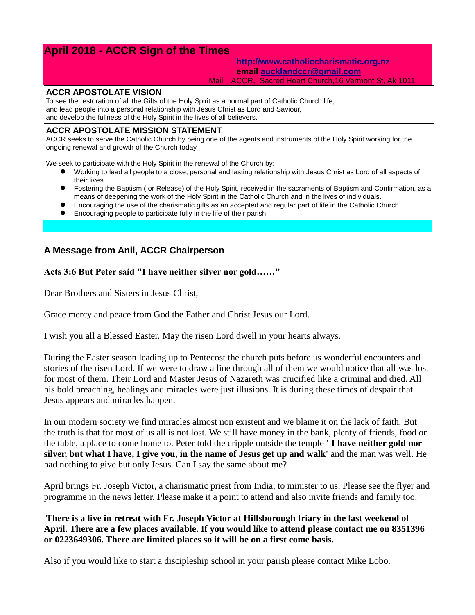# **April 2018 - ACCR Sign of the Times**

# **[http://www.catholiccharismatic.org.nz](http://www.catholiccharismatic.org.nz/) email [aucklandccr@gmail.com](mailto:aucklandccr@gmail.com)**

#### Mail: ACCR, Sacred Heart Church,16 Vermont St, Ak 1011

#### **ACCR APOSTOLATE VISION**

To see the restoration of all the Gifts of the Holy Spirit as a normal part of Catholic Church life, and lead people into a personal relationship with Jesus Christ as Lord and Saviour, and develop the fullness of the Holy Spirit in the lives of all believers.

#### **ACCR APOSTOLATE MISSION STATEMENT**

ACCR seeks to serve the Catholic Church by being one of the agents and instruments of the Holy Spirit working for the ongoing renewal and growth of the Church today.

We seek to participate with the Holy Spirit in the renewal of the Church by:

- Working to lead all people to a close, personal and lasting relationship with Jesus Christ as Lord of all aspects of their lives.
- Fostering the Baptism ( or Release) of the Holy Spirit, received in the sacraments of Baptism and Confirmation, as a means of deepening the work of the Holy Spirit in the Catholic Church and in the lives of individuals.
- Encouraging the use of the charismatic gifts as an accepted and regular part of life in the Catholic Church.
- Encouraging people to participate fully in the life of their parish.

# **A Message from Anil, ACCR Chairperson**

**Acts 3:6 But Peter said "I have neither silver nor gold……"**

Dear Brothers and Sisters in Jesus Christ,

Grace mercy and peace from God the Father and Christ Jesus our Lord.

I wish you all a Blessed Easter. May the risen Lord dwell in your hearts always.

During the Easter season leading up to Pentecost the church puts before us wonderful encounters and stories of the risen Lord. If we were to draw a line through all of them we would notice that all was lost for most of them. Their Lord and Master Jesus of Nazareth was crucified like a criminal and died. All his bold preaching, healings and miracles were just illusions. It is during these times of despair that Jesus appears and miracles happen.

In our modern society we find miracles almost non existent and we blame it on the lack of faith. But the truth is that for most of us all is not lost. We still have money in the bank, plenty of friends, food on the table, a place to come home to. Peter told the cripple outside the temple **' I have neither gold nor silver, but what I have, I give you, in the name of Jesus get up and walk'** and the man was well. He had nothing to give but only Jesus. Can I say the same about me?

April brings Fr. Joseph Victor, a charismatic priest from India, to minister to us. Please see the flyer and programme in the news letter. Please make it a point to attend and also invite friends and family too.

**There is a live in retreat with Fr. Joseph Victor at Hillsborough friary in the last weekend of April. There are a few places available. If you would like to attend please contact me on 8351396 or 0223649306. There are limited places so it will be on a first come basis.**

Also if you would like to start a discipleship school in your parish please contact Mike Lobo.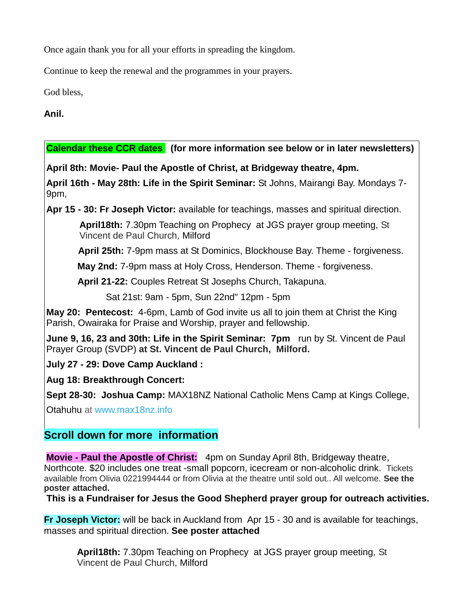Once again thank you for all your efforts in spreading the kingdom.

Continue to keep the renewal and the programmes in your prayers.

God bless,

**Anil.**

# **Calendar these CCR dates (for more information see below or in later newsletters)**

**April 8th: Movie- Paul the Apostle of Christ, at Bridgeway theatre, 4pm.**

**April 16th - May 28th: Life in the Spirit Seminar:** St Johns, Mairangi Bay. Mondays 7- 9pm,

**Apr 15 - 30: Fr Joseph Victor:** available for teachings, masses and spiritual direction.

**April18th:** 7.30pm Teaching on Prophecy at JGS prayer group meeting, St Vincent de Paul Church, Milford

**April 25th:** 7-9pm mass at St Dominics, Blockhouse Bay. Theme - forgiveness.

**May 2nd:** 7-9pm mass at Holy Cross, Henderson. Theme - forgiveness.

**April 21-22:** Couples Retreat St Josephs Church, Takapuna.

Sat 21st: 9am - 5pm, Sun 22nd" 12pm - 5pm

**May 20: Pentecost:** 4-6pm, Lamb of God invite us all to join them at Christ the King Parish, Owairaka for Praise and Worship, prayer and fellowship.

**June 9, 16, 23 and 30th: Life in the Spirit Seminar: 7pm** run by St. Vincent de Paul Prayer Group (SVDP) **at St. Vincent de Paul Church, Milford.**

**July 27 - 29: Dove Camp Auckland :** 

**Aug 18: Breakthrough Concert:** 

**Sept 28-30: Joshua Camp:** MAX18NZ National Catholic Mens Camp at Kings College,

Otahuhu at [www.max18nz.info](https://max18nz.us11.list-manage.com/track/click?u=e18eab0c2ef3f49b33b96ee7b&id=1c847e9037&e=b79ca322dc)

# **Scroll down for more information**

**Movie - Paul the Apostle of Christ:** 4pm on Sunday April 8th, Bridgeway theatre, Northcote. \$20 includes one treat -small popcorn, icecream or non-alcoholic drink. Tickets available from Olivia 0221994444 or from Olivia at the theatre until sold out.. All welcome. **See the poster attached.**

**This is a Fundraiser for Jesus the Good Shepherd prayer group for outreach activities.**

**Fr Joseph Victor:** will be back in Auckland from Apr 15 - 30 and is available for teachings, masses and spiritual direction. **See poster attached**

**April18th:** 7.30pm Teaching on Prophecy at JGS prayer group meeting, St Vincent de Paul Church, Milford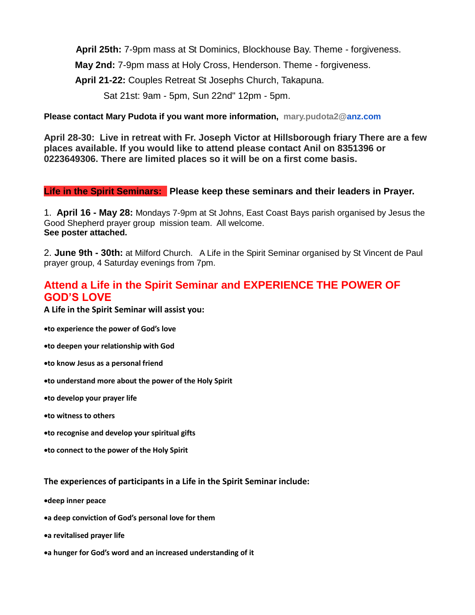**April 25th:** 7-9pm mass at St Dominics, Blockhouse Bay. Theme - forgiveness.

**May 2nd:** 7-9pm mass at Holy Cross, Henderson. Theme - forgiveness.

**April 21-22:** Couples Retreat St Josephs Church, Takapuna.

Sat 21st: 9am - 5pm, Sun 22nd" 12pm - 5pm.

**Please contact Mary Pudota if you want more information, mary.pudota2[@anz.com](http://anz.com/)**

**April 28-30: Live in retreat with Fr. Joseph Victor at Hillsborough friary There are a few places available. If you would like to attend please contact Anil on 8351396 or 0223649306. There are limited places so it will be on a first come basis.**

# **Life in the Spirit Seminars: Please keep these seminars and their leaders in Prayer.**

1. **April 16 - May 28:** Mondays 7-9pm at St Johns, East Coast Bays parish organised by Jesus the Good Shepherd prayer group mission team. All welcome. **See poster attached.**

2. **June 9th - 30th:** at Milford Church. A Life in the Spirit Seminar organised by St Vincent de Paul prayer group, 4 Saturday evenings from 7pm.

# **Attend a Life in the Spirit Seminar and EXPERIENCE THE POWER OF GOD'S LOVE**

**A Life in the Spirit Seminar will assist you:**

•**to experience the power of God's love**

•**to deepen your relationship with God**

•**to know Jesus as a personal friend**

•**to understand more about the power of the Holy Spirit**

•**to develop your prayer life**

•**to witness to others**

•**to recognise and develop your spiritual gifts**

•**to connect to the power of the Holy Spirit**

### **The experiences of participants in a Life in the Spirit Seminar include:**

•**deep inner peace**

•**a deep conviction of God's personal love for them**

•**a revitalised prayer life**

•**a hunger for God's word and an increased understanding of it**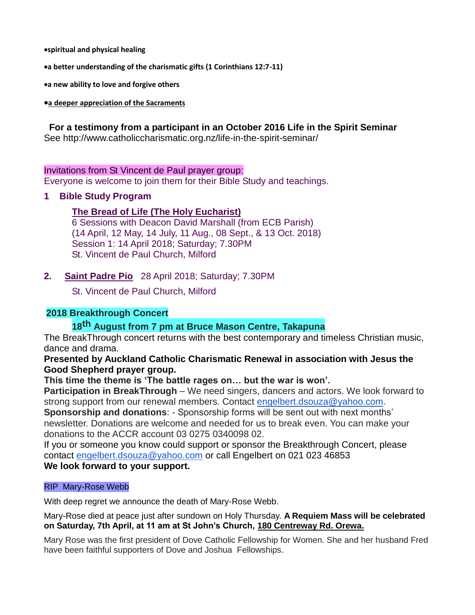•**spiritual and physical healing**

•**a better understanding of the charismatic gifts (1 Corinthians 12:7-11)**

•**a new ability to love and forgive others**

#### •**a deeper appreciation of the Sacraments**

# **For a testimony from a participant in an October 2016 Life in the Spirit Seminar**

See http://www.catholiccharismatic.org.nz/life-in-the-spirit-seminar/

### Invitations from St Vincent de Paul prayer group:

Everyone is welcome to join them for their Bible Study and teachings.

## **1 Bible Study Program**

# **The Bread of Life (The Holy Eucharist)**

6 Sessions with Deacon David Marshall (from ECB Parish) (14 April, 12 May, 14 July, 11 Aug., 08 Sept., & 13 Oct. 2018) Session 1: 14 April 2018; Saturday; 7.30PM St. Vincent de Paul Church, Milford

# **2. Saint Padre Pio** 28 April 2018; Saturday; 7.30PM

St. Vincent de Paul Church, Milford

# **2018 Breakthrough Concert**

# **18th August from 7 pm at Bruce Mason Centre, Takapuna**

The BreakThrough concert returns with the best contemporary and timeless Christian music, dance and drama.

## **Presented by Auckland Catholic Charismatic Renewal in association with Jesus the Good Shepherd prayer group.**

# **This time the theme is 'The battle rages on… but the war is won'.**

**Participation in BreakThrough** – We need singers, dancers and actors. We look forward to strong support from our renewal members. Contact [engelbert.dsouza@yahoo.com.](mailto:engelbert.dsouza@yahoo.com)

**Sponsorship and donations**: - Sponsorship forms will be sent out with next months' newsletter. Donations are welcome and needed for us to break even. You can make your donations to the ACCR account 03 0275 0340098 02.

If you or someone you know could support or sponsor the Breakthrough Concert, please contact [engelbert.dsouza@yahoo.com](mailto:engelbert.dsouza@yahoo.com) or call Engelbert on 021 023 46853

# **We look forward to your support.**

### RIP Mary-Rose Webb

With deep regret we announce the death of Mary-Rose Webb.

### Mary-Rose died at peace just after sundown on Holy Thursday. **A Requiem Mass will be celebrated on Saturday, 7th April, at 11 am at St John's Church, [180 Centreway Rd. Orewa.](https://maps.google.com/?q=180+Centreway+Rd.+Orewa&entry=gmail&source=g)**

Mary Rose was the first president of Dove Catholic Fellowship for Women. She and her husband Fred have been faithful supporters of Dove and Joshua Fellowships.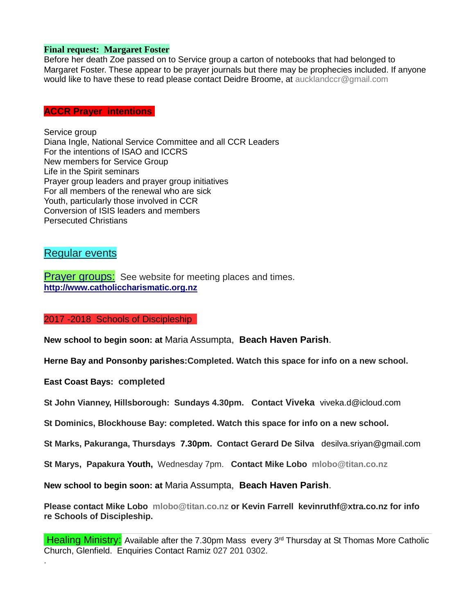#### **Final request: Margaret Foster**

Before her death Zoe passed on to Service group a carton of notebooks that had belonged to Margaret Foster. These appear to be prayer journals but there may be prophecies included. If anyone would like to have these to read please contact Deidre Broome, at aucklandccr@gmail.com

#### **ACCR Prayer intentions**

Service group Diana Ingle, National Service Committee and all CCR Leaders For the intentions of ISAO and ICCRS New members for Service Group Life in the Spirit seminars Prayer group leaders and prayer group initiatives For all members of the renewal who are sick Youth, particularly those involved in CCR Conversion of ISIS leaders and members Persecuted Christians

# Regular events

**Prayer groups:** See website for meeting places and times. **[http://www.catholiccharismatic.org.nz](http://www.catholiccharismatic.org.nz/)**

#### 2017 -2018 Schools of Discipleship

**New school to begin soon: at** Maria Assumpta, **Beach Haven Parish**.

**Herne Bay and Ponsonby parishes:Completed. Watch this space for info on a new school.**

**East Coast Bays: completed**

.

**St John Vianney, Hillsborough: Sundays 4.30pm. Contact Viveka** viveka.d@icloud.com

**St Dominics, Blockhouse Bay: completed. Watch this space for info on a new school.**

**St Marks, Pakuranga, Thursdays 7.30pm. Contact Gerard De Silva** desilva.sriyan@gmail.com

**St Marys, Papakura Youth,** Wednesday 7pm. **Contact Mike Lobo mlobo@titan.co.nz**

**New school to begin soon: at** Maria Assumpta, **Beach Haven Parish**.

**Please contact Mike Lobo mlobo@titan.co.nz or Kevin Farrell [kevinruthf@xtra.co.nz](mailto:kevinruthf@xtra.co.nz) for info re Schools of Discipleship.**

Healing Ministry: Available after the 7.30pm Mass every 3<sup>rd</sup> Thursday at St Thomas More Catholic Church, Glenfield. Enquiries Contact Ramiz 027 201 0302.